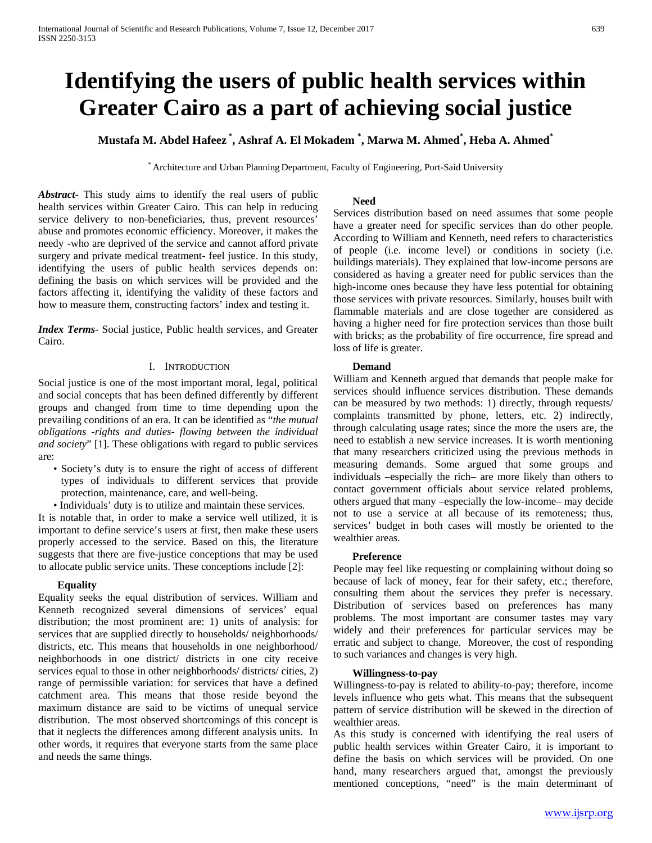# **Identifying the users of public health services within Greater Cairo as a part of achieving social justice**

**Mustafa M. Abdel Hafeez \* , Ashraf A. El Mokadem \* , Marwa M. Ahmed\* , Heba A. Ahmed\***

\* Architecture and Urban Planning Department, Faculty of Engineering, Port-Said University

*Abstract***-** This study aims to identify the real users of public health services within Greater Cairo. This can help in reducing service delivery to non-beneficiaries, thus, prevent resources' abuse and promotes economic efficiency. Moreover, it makes the needy -who are deprived of the service and cannot afford private surgery and private medical treatment- feel justice. In this study, identifying the users of public health services depends on: defining the basis on which services will be provided and the factors affecting it, identifying the validity of these factors and how to measure them, constructing factors' index and testing it.

*Index Terms*- Social justice, Public health services, and Greater Cairo.

#### I. INTRODUCTION

Social justice is one of the most important moral, legal, political and social concepts that has been defined differently by different groups and changed from time to time depending upon the prevailing conditions of an era. It can be identified as "*the mutual obligations -rights and duties- flowing between the individual and society*" [1]. These obligations with regard to public services are:

- Society's duty is to ensure the right of access of different types of individuals to different services that provide protection, maintenance, care, and well-being.
- Individuals' duty is to utilize and maintain these services.

It is notable that, in order to make a service well utilized, it is important to define service's users at first, then make these users properly accessed to the service. Based on this, the literature suggests that there are five-justice conceptions that may be used to allocate public service units. These conceptions include [2]:

#### **Equality**

Equality seeks the equal distribution of services. William and Kenneth recognized several dimensions of services' equal distribution; the most prominent are: 1) units of analysis: for services that are supplied directly to households/ neighborhoods/ districts, etc. This means that households in one neighborhood/ neighborhoods in one district/ districts in one city receive services equal to those in other neighborhoods/ districts/ cities, 2) range of permissible variation: for services that have a defined catchment area. This means that those reside beyond the maximum distance are said to be victims of unequal service distribution. The most observed shortcomings of this concept is that it neglects the differences among different analysis units. In other words, it requires that everyone starts from the same place and needs the same things.

#### **Need**

Services distribution based on need assumes that some people have a greater need for specific services than do other people. According to William and Kenneth, need refers to characteristics of people (i.e. income level) or conditions in society (i.e. buildings materials). They explained that low-income persons are considered as having a greater need for public services than the high-income ones because they have less potential for obtaining those services with private resources. Similarly, houses built with flammable materials and are close together are considered as having a higher need for fire protection services than those built with bricks; as the probability of fire occurrence, fire spread and loss of life is greater.

#### **Demand**

William and Kenneth argued that demands that people make for services should influence services distribution. These demands can be measured by two methods: 1) directly, through requests/ complaints transmitted by phone, letters, etc. 2) indirectly, through calculating usage rates; since the more the users are, the need to establish a new service increases. It is worth mentioning that many researchers criticized using the previous methods in measuring demands. Some argued that some groups and individuals –especially the rich– are more likely than others to contact government officials about service related problems, others argued that many –especially the low-income– may decide not to use a service at all because of its remoteness; thus, services' budget in both cases will mostly be oriented to the wealthier areas.

#### **Preference**

People may feel like requesting or complaining without doing so because of lack of money, fear for their safety, etc.; therefore, consulting them about the services they prefer is necessary. Distribution of services based on preferences has many problems. The most important are consumer tastes may vary widely and their preferences for particular services may be erratic and subject to change. Moreover, the cost of responding to such variances and changes is very high.

#### **Willingness-to-pay**

Willingness-to-pay is related to ability-to-pay; therefore, income levels influence who gets what. This means that the subsequent pattern of service distribution will be skewed in the direction of wealthier areas.

As this study is concerned with identifying the real users of public health services within Greater Cairo, it is important to define the basis on which services will be provided. On one hand, many researchers argued that, amongst the previously mentioned conceptions, "need" is the main determinant of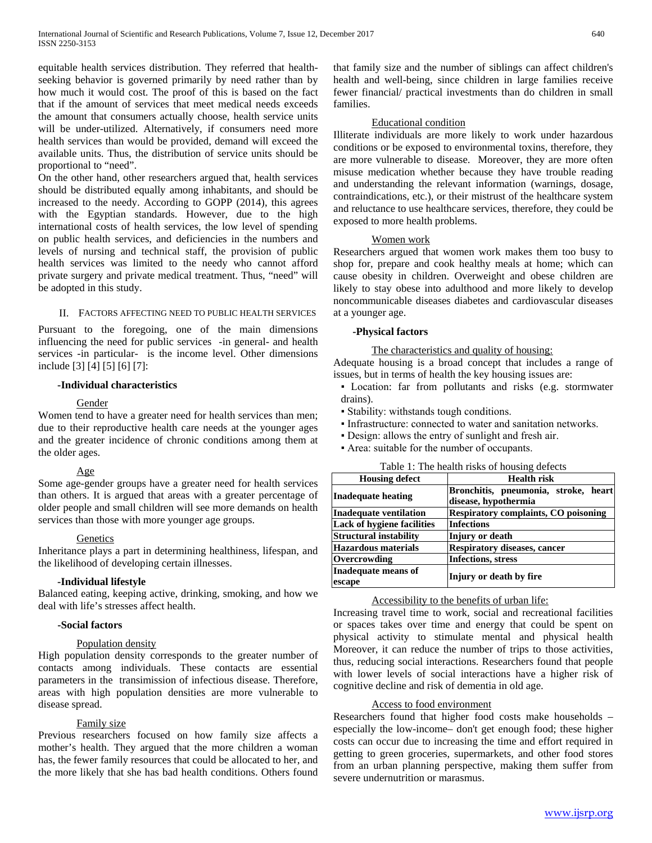equitable health services distribution. They referred that healthseeking behavior is governed primarily by need rather than by how much it would cost. The proof of this is based on the fact that if the amount of services that meet medical needs exceeds the amount that consumers actually choose, health service units will be under-utilized. Alternatively, if consumers need more health services than would be provided, demand will exceed the available units. Thus, the distribution of service units should be proportional to "need".

On the other hand, other researchers argued that, health services should be distributed equally among inhabitants, and should be increased to the needy. According to GOPP (2014), this agrees with the Egyptian standards. However, due to the high international costs of health services, the low level of spending on public health services, and deficiencies in the numbers and levels of nursing and technical staff, the provision of public health services was limited to the needy who cannot afford private surgery and private medical treatment. Thus, "need" will be adopted in this study.

# II. FACTORS AFFECTING NEED TO PUBLIC HEALTH SERVICES

Pursuant to the foregoing, one of the main dimensions influencing the need for public services -in general- and health services -in particular- is the income level. Other dimensions include [3] [4] [5] [6] [7]:

#### **-Individual characteristics**

#### Gender

Women tend to have a greater need for health services than men; due to their reproductive health care needs at the younger ages and the greater incidence of chronic conditions among them at the older ages.

#### Age

Some age-gender groups have a greater need for health services than others. It is argued that areas with a greater percentage of older people and small children will see more demands on health services than those with more younger age groups.

#### Genetics

Inheritance plays a part in determining healthiness, lifespan, and the likelihood of developing certain illnesses.

#### **-Individual lifestyle**

Balanced eating, keeping active, drinking, smoking, and how we deal with life's stresses affect health.

#### **-Social factors**

#### Population density

High population density corresponds to the greater number of contacts among individuals. These contacts are essential parameters in the transimission of infectious disease. Therefore, areas with high population densities are more vulnerable to disease spread.

#### Family size

Previous researchers focused on how family size affects a mother's health. They argued that the more children a woman has, the fewer family resources that could be allocated to her, and the more likely that she has bad health conditions. Others found that family size and the number of siblings can affect children's health and well-being, since children in large families receive fewer financial/ practical investments than do children in small families.

#### Educational condition

Illiterate individuals are more likely to work under hazardous conditions or be exposed to environmental toxins, therefore, they are more vulnerable to disease. Moreover, they are more often misuse medication whether because they have trouble reading and understanding the relevant information (warnings, dosage, contraindications, etc.), or their mistrust of the healthcare system and reluctance to use healthcare services, therefore, they could be exposed to more health problems.

#### Women work

Researchers argued that women work makes them too busy to shop for, prepare and cook healthy meals at home; which can cause obesity in children. Overweight and obese children are likely to stay obese into adulthood and more likely to develop noncommunicable diseases diabetes and cardiovascular diseases at a younger age.

#### **-Physical factors**

#### The characteristics and quality of housing:

Adequate housing is a broad concept that includes a range of issues, but in terms of health the key housing issues are:

▪ Location: far from pollutants and risks (e.g. stormwater drains).

- Stability: withstands tough conditions.
- Infrastructure: connected to water and sanitation networks.
- Design: allows the entry of sunlight and fresh air.
- Area: suitable for the number of occupants.

|  | Table 1: The health risks of housing defects |  |  |  |
|--|----------------------------------------------|--|--|--|
|--|----------------------------------------------|--|--|--|

| <b>Housing defect</b>             | <b>Health risk</b>                          |  |  |  |  |  |  |  |
|-----------------------------------|---------------------------------------------|--|--|--|--|--|--|--|
|                                   | Bronchitis, pneumonia, stroke, heart        |  |  |  |  |  |  |  |
| Inadequate heating                | disease, hypothermia                        |  |  |  |  |  |  |  |
| <b>Inadequate ventilation</b>     | <b>Respiratory complaints, CO poisoning</b> |  |  |  |  |  |  |  |
| <b>Lack of hygiene facilities</b> | <b>Infections</b>                           |  |  |  |  |  |  |  |
| <b>Structural instability</b>     | Injury or death                             |  |  |  |  |  |  |  |
| <b>Hazardous materials</b>        | <b>Respiratory diseases, cancer</b>         |  |  |  |  |  |  |  |
| Overcrowding                      | <b>Infections</b> , stress                  |  |  |  |  |  |  |  |
| Inadequate means of               |                                             |  |  |  |  |  |  |  |
| escape                            | Injury or death by fire                     |  |  |  |  |  |  |  |

#### Accessibility to the benefits of urban life:

Increasing travel time to work, social and recreational facilities or spaces takes over time and energy that could be spent on physical activity to stimulate mental and physical health Moreover, it can reduce the number of trips to those activities, thus, reducing social interactions. Researchers found that people with lower levels of social interactions have a higher risk of cognitive decline and risk of dementia in old age.

#### Access to food environment

Researchers found that higher food costs make households – especially the low-income– don't get enough food; these higher costs can occur due to increasing the time and effort required in getting to green groceries, supermarkets, and other food stores from an urban planning perspective, making them suffer from severe undernutrition or marasmus.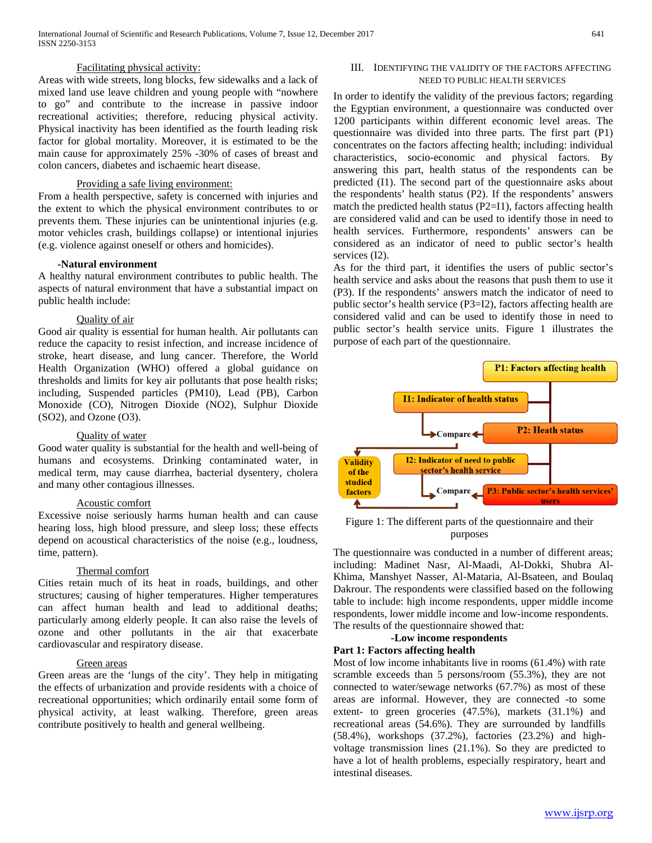#### Facilitating physical activity:

Areas with wide streets, long blocks, few sidewalks and a lack of mixed land use leave children and young people with "nowhere to go" and contribute to the increase in passive indoor recreational activities; therefore, reducing physical activity. Physical inactivity has been identified as the fourth leading risk factor for global mortality. Moreover, it is estimated to be the main cause for approximately 25% -30% of cases of breast and colon cancers, diabetes and ischaemic heart disease.

#### Providing a safe living environment:

From a health perspective, safety is concerned with injuries and the extent to which the physical environment contributes to or prevents them. These injuries can be unintentional injuries (e.g. motor vehicles crash, buildings collapse) or intentional injuries (e.g. violence against oneself or others and homicides).

#### **-Natural environment**

A healthy natural environment contributes to public health. The aspects of natural environment that have a substantial impact on public health include:

#### Quality of air

Good air quality is essential for human health. Air pollutants can reduce the capacity to resist infection, and increase incidence of stroke, heart disease, and lung cancer. Therefore, the World Health Organization (WHO) offered a global guidance on thresholds and limits for key air pollutants that pose health risks; including, Suspended particles (PM10), Lead (PB), Carbon Monoxide (CO), Nitrogen Dioxide (NO2), Sulphur Dioxide (SO2), and Ozone (O3).

#### Quality of water

Good water quality is substantial for the health and well-being of humans and ecosystems. Drinking contaminated water, in medical term, may cause diarrhea, bacterial dysentery, cholera and many other contagious illnesses.

#### Acoustic comfort

Excessive noise seriously harms human health and can cause hearing loss, high blood pressure, and sleep loss; these effects depend on acoustical characteristics of the noise (e.g., loudness, time, pattern).

#### Thermal comfort

Cities retain much of its heat in roads, buildings, and other structures; causing of higher temperatures. Higher temperatures can affect human health and lead to additional deaths; particularly among elderly people. It can also raise the levels of ozone and other pollutants in the air that exacerbate cardiovascular and respiratory disease.

#### Green areas

Green areas are the 'lungs of the city'. They help in mitigating the effects of urbanization and provide residents with a choice of recreational opportunities; which ordinarily entail some form of physical activity, at least walking. Therefore, green areas contribute positively to health and general wellbeing.

#### III. IDENTIFYING THE VALIDITY OF THE FACTORS AFFECTING NEED TO PUBLIC HEALTH SERVICES

In order to identify the validity of the previous factors; regarding the Egyptian environment, a questionnaire was conducted over 1200 participants within different economic level areas. The questionnaire was divided into three parts. The first part (P1) concentrates on the factors affecting health; including: individual characteristics, socio-economic and physical factors. By answering this part, health status of the respondents can be predicted (I1). The second part of the questionnaire asks about the respondents' health status (P2). If the respondents' answers match the predicted health status (P2=I1), factors affecting health are considered valid and can be used to identify those in need to health services. Furthermore, respondents' answers can be considered as an indicator of need to public sector's health services  $(I2)$ .

As for the third part, it identifies the users of public sector's health service and asks about the reasons that push them to use it (P3). If the respondents' answers match the indicator of need to public sector's health service (P3=I2), factors affecting health are considered valid and can be used to identify those in need to public sector's health service units. Figure 1 illustrates the purpose of each part of the questionnaire.



#### Figure 1: The different parts of the questionnaire and their purposes

The questionnaire was conducted in a number of different areas; including: Madinet Nasr, Al-Maadi, Al-Dokki, Shubra Al-Khima, Manshyet Nasser, Al-Mataria, Al-Bsateen, and Boulaq Dakrour. The respondents were classified based on the following table to include: high income respondents, upper middle income respondents, lower middle income and low-income respondents. The results of the questionnaire showed that:

#### **-Low income respondents Part 1: Factors affecting health**

Most of low income inhabitants live in rooms (61.4%) with rate scramble exceeds than 5 persons/room (55.3%), they are not connected to water/sewage networks (67.7%) as most of these areas are informal. However, they are connected -to some extent- to green groceries (47.5%), markets (31.1%) and recreational areas (54.6%). They are surrounded by landfills (58.4%), workshops (37.2%), factories (23.2%) and highvoltage transmission lines (21.1%). So they are predicted to have a lot of health problems, especially respiratory, heart and intestinal diseases.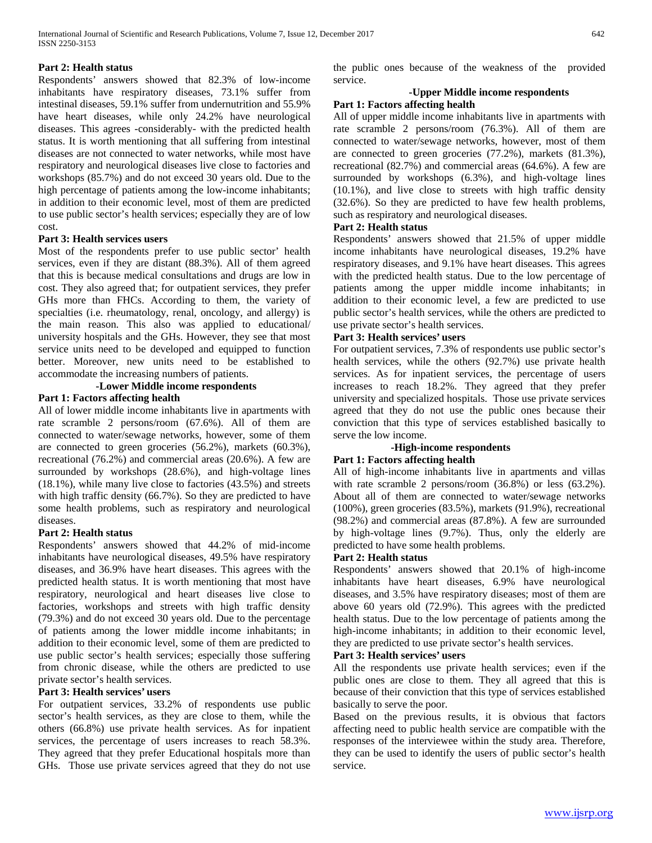### **Part 2: Health status**

Respondents' answers showed that 82.3% of low-income inhabitants have respiratory diseases, 73.1% suffer from intestinal diseases, 59.1% suffer from undernutrition and 55.9% have heart diseases, while only 24.2% have neurological diseases. This agrees -considerably- with the predicted health status. It is worth mentioning that all suffering from intestinal diseases are not connected to water networks, while most have respiratory and neurological diseases live close to factories and workshops (85.7%) and do not exceed 30 years old. Due to the high percentage of patients among the low-income inhabitants; in addition to their economic level, most of them are predicted to use public sector's health services; especially they are of low cost.

## **Part 3: Health services users**

Most of the respondents prefer to use public sector' health services, even if they are distant (88.3%). All of them agreed that this is because medical consultations and drugs are low in cost. They also agreed that; for outpatient services, they prefer GHs more than FHCs. According to them, the variety of specialties (i.e. rheumatology, renal, oncology, and allergy) is the main reason. This also was applied to educational/ university hospitals and the GHs. However, they see that most service units need to be developed and equipped to function better. Moreover, new units need to be established to accommodate the increasing numbers of patients.

# **-Lower Middle income respondents**

#### **Part 1: Factors affecting health**

All of lower middle income inhabitants live in apartments with rate scramble 2 persons/room (67.6%). All of them are connected to water/sewage networks, however, some of them are connected to green groceries (56.2%), markets (60.3%), recreational (76.2%) and commercial areas (20.6%). A few are surrounded by workshops  $(28.6\%)$ , and high-voltage lines (18.1%), while many live close to factories (43.5%) and streets with high traffic density (66.7%). So they are predicted to have some health problems, such as respiratory and neurological diseases.

#### **Part 2: Health status**

Respondents' answers showed that 44.2% of mid-income inhabitants have neurological diseases, 49.5% have respiratory diseases, and 36.9% have heart diseases. This agrees with the predicted health status. It is worth mentioning that most have respiratory, neurological and heart diseases live close to factories, workshops and streets with high traffic density (79.3%) and do not exceed 30 years old. Due to the percentage of patients among the lower middle income inhabitants; in addition to their economic level, some of them are predicted to use public sector's health services; especially those suffering from chronic disease, while the others are predicted to use private sector's health services.

#### **Part 3: Health services' users**

For outpatient services, 33.2% of respondents use public sector's health services, as they are close to them, while the others (66.8%) use private health services. As for inpatient services, the percentage of users increases to reach 58.3%. They agreed that they prefer Educational hospitals more than GHs. Those use private services agreed that they do not use

the public ones because of the weakness of the provided service.

#### **-Upper Middle income respondents Part 1: Factors affecting health**

All of upper middle income inhabitants live in apartments with rate scramble 2 persons/room (76.3%). All of them are connected to water/sewage networks, however, most of them are connected to green groceries (77.2%), markets (81.3%), recreational (82.7%) and commercial areas (64.6%). A few are surrounded by workshops  $(6.3\%)$ , and high-voltage lines (10.1%), and live close to streets with high traffic density (32.6%). So they are predicted to have few health problems, such as respiratory and neurological diseases.

# **Part 2: Health status**

Respondents' answers showed that 21.5% of upper middle income inhabitants have neurological diseases, 19.2% have respiratory diseases, and 9.1% have heart diseases. This agrees with the predicted health status. Due to the low percentage of patients among the upper middle income inhabitants; in addition to their economic level, a few are predicted to use public sector's health services, while the others are predicted to use private sector's health services.

#### **Part 3: Health services' users**

For outpatient services, 7.3% of respondents use public sector's health services, while the others (92.7%) use private health services. As for inpatient services, the percentage of users increases to reach 18.2%. They agreed that they prefer university and specialized hospitals. Those use private services agreed that they do not use the public ones because their conviction that this type of services established basically to serve the low income.

# **-High-income respondents**

### **Part 1: Factors affecting health**

All of high-income inhabitants live in apartments and villas with rate scramble 2 persons/room (36.8%) or less (63.2%). About all of them are connected to water/sewage networks (100%), green groceries (83.5%), markets (91.9%), recreational (98.2%) and commercial areas (87.8%). A few are surrounded by high-voltage lines (9.7%). Thus, only the elderly are predicted to have some health problems.

#### **Part 2: Health status**

Respondents' answers showed that 20.1% of high-income inhabitants have heart diseases, 6.9% have neurological diseases, and 3.5% have respiratory diseases; most of them are above 60 years old (72.9%). This agrees with the predicted health status. Due to the low percentage of patients among the high-income inhabitants; in addition to their economic level, they are predicted to use private sector's health services.

### **Part 3: Health services' users**

All the respondents use private health services; even if the public ones are close to them. They all agreed that this is because of their conviction that this type of services established basically to serve the poor.

Based on the previous results, it is obvious that factors affecting need to public health service are compatible with the responses of the interviewee within the study area. Therefore, they can be used to identify the users of public sector's health service.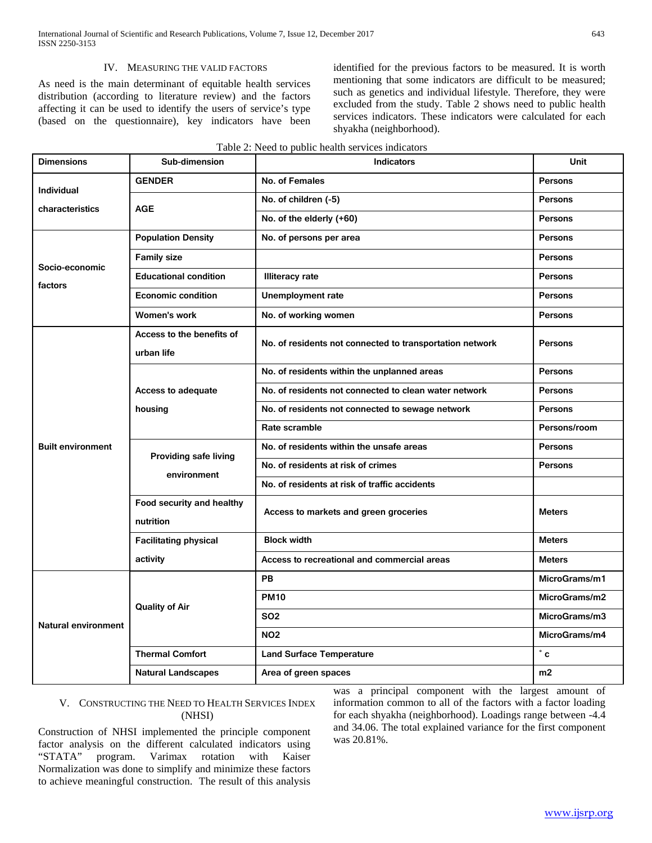#### IV. MEASURING THE VALID FACTORS

As need is the main determinant of equitable health services distribution (according to literature review) and the factors affecting it can be used to identify the users of service's type (based on the questionnaire), key indicators have been

identified for the previous factors to be measured. It is worth mentioning that some indicators are difficult to be measured; such as genetics and individual lifestyle. Therefore, they were excluded from the study. Table 2 shows need to public health services indicators. These indicators were calculated for each shyakha (neighborhood).

| <b>Dimensions</b>          | Sub-dimension                | <b>Indicators</b>                                        | Unit           |  |
|----------------------------|------------------------------|----------------------------------------------------------|----------------|--|
| Individual                 | <b>GENDER</b>                | No. of Females                                           | <b>Persons</b> |  |
| characteristics            | <b>AGE</b>                   | No. of children (-5)                                     | <b>Persons</b> |  |
|                            |                              | No. of the elderly (+60)                                 | <b>Persons</b> |  |
|                            | <b>Population Density</b>    | No. of persons per area                                  | <b>Persons</b> |  |
|                            | <b>Family size</b>           |                                                          | <b>Persons</b> |  |
| Socio-economic<br>factors  | <b>Educational condition</b> | <b>Illiteracy rate</b>                                   | <b>Persons</b> |  |
|                            | <b>Economic condition</b>    | Unemployment rate                                        | <b>Persons</b> |  |
|                            | Women's work                 | No. of working women                                     | <b>Persons</b> |  |
|                            | Access to the benefits of    | No. of residents not connected to transportation network | <b>Persons</b> |  |
|                            | urban life                   |                                                          |                |  |
|                            |                              | No. of residents within the unplanned areas              | <b>Persons</b> |  |
|                            | <b>Access to adequate</b>    | No. of residents not connected to clean water network    | <b>Persons</b> |  |
|                            | housing                      | No. of residents not connected to sewage network         | <b>Persons</b> |  |
|                            |                              | Rate scramble                                            | Persons/room   |  |
| <b>Built environment</b>   | Providing safe living        | No. of residents within the unsafe areas                 | <b>Persons</b> |  |
|                            | environment                  | No. of residents at risk of crimes                       | <b>Persons</b> |  |
|                            |                              | No. of residents at risk of traffic accidents            |                |  |
|                            | Food security and healthy    | Access to markets and green groceries                    | <b>Meters</b>  |  |
|                            | nutrition                    |                                                          |                |  |
|                            | <b>Facilitating physical</b> | <b>Block width</b>                                       | <b>Meters</b>  |  |
|                            | activity                     | Access to recreational and commercial areas              | <b>Meters</b>  |  |
| <b>Natural environment</b> |                              | <b>PB</b>                                                | MicroGrams/m1  |  |
|                            | <b>Quality of Air</b>        | <b>PM10</b>                                              | MicroGrams/m2  |  |
|                            |                              | <b>SO2</b>                                               | MicroGrams/m3  |  |
|                            |                              | <b>NO2</b>                                               | MicroGrams/m4  |  |
|                            | <b>Thermal Comfort</b>       | <b>Land Surface Temperature</b>                          | $\degree$ c    |  |
|                            | <b>Natural Landscapes</b>    | Area of green spaces                                     | m <sub>2</sub> |  |

#### Table 2: Need to public health services indicators

# V. CONSTRUCTING THE NEED TO HEALTH SERVICES INDEX (NHSI)

Construction of NHSI implemented the principle component factor analysis on the different calculated indicators using "STATA" program. Varimax rotation with Kaiser Normalization was done to simplify and minimize these factors to achieve meaningful construction. The result of this analysis

was a principal component with the largest amount of information common to all of the factors with a factor loading for each shyakha (neighborhood). Loadings range between -4.4 and 34.06. The total explained variance for the first component was 20.81%.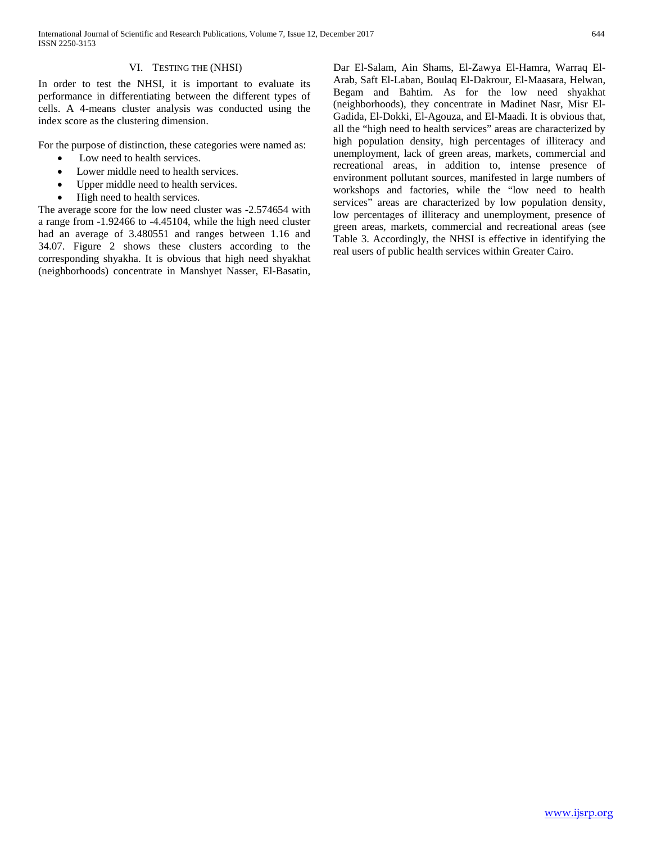# VI. TESTING THE (NHSI)

In order to test the NHSI, it is important to evaluate its performance in differentiating between the different types of cells. A 4-means cluster analysis was conducted using the index score as the clustering dimension.

For the purpose of distinction, these categories were named as:

- Low need to health services.
- Lower middle need to health services.
- Upper middle need to health services.
- High need to health services.

The average score for the low need cluster was -2.574654 with a range from -1.92466 to -4.45104, while the high need cluster had an average of 3.480551 and ranges between 1.16 and 34.07. Figure 2 shows these clusters according to the corresponding shyakha. It is obvious that high need shyakhat (neighborhoods) concentrate in Manshyet Nasser, El-Basatin, Dar El-Salam, Ain Shams, El-Zawya El-Hamra, Warraq El-Arab, Saft El-Laban, Boulaq El-Dakrour, El-Maasara, Helwan, Begam and Bahtim. As for the low need shyakhat (neighborhoods), they concentrate in Madinet Nasr, Misr El-Gadida, El-Dokki, El-Agouza, and El-Maadi. It is obvious that, all the "high need to health services" areas are characterized by high population density, high percentages of illiteracy and unemployment, lack of green areas, markets, commercial and recreational areas, in addition to, intense presence of environment pollutant sources, manifested in large numbers of workshops and factories, while the "low need to health services" areas are characterized by low population density, low percentages of illiteracy and unemployment, presence of green areas, markets, commercial and recreational areas (see Table 3. Accordingly, the NHSI is effective in identifying the real users of public health services within Greater Cairo.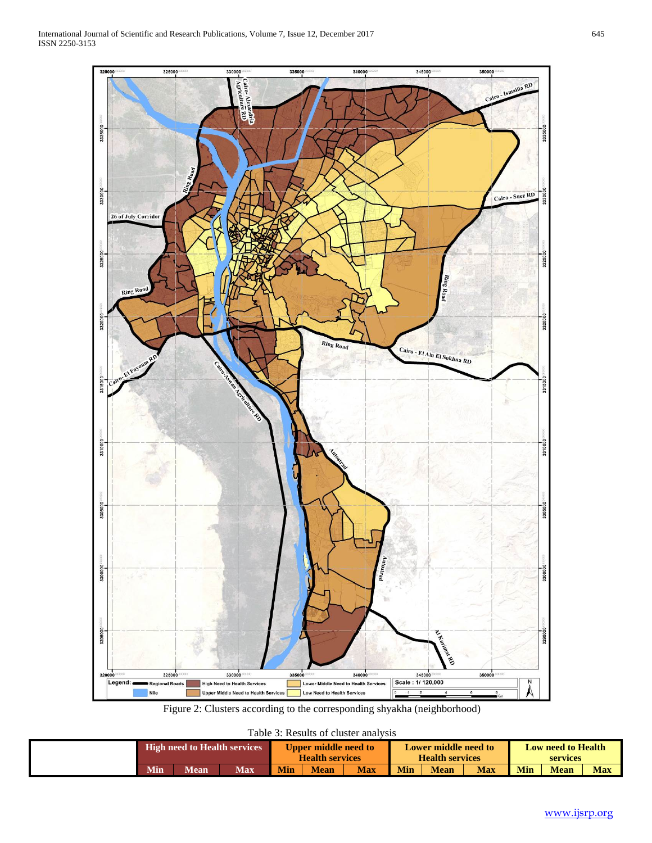

Figure 2: Clusters according to the corresponding shyakha (neighborhood)

Table 3: Results of cluster analysis

| Taoic 9. Résults of chaster amarvists |                              |             |     |                        |             |            |                             |             |            |                           |             |            |
|---------------------------------------|------------------------------|-------------|-----|------------------------|-------------|------------|-----------------------------|-------------|------------|---------------------------|-------------|------------|
|                                       | High need to Health services |             |     | Upper middle need to   |             |            | <b>Lower middle need to</b> |             |            | <b>Low need to Health</b> |             |            |
|                                       |                              |             |     | <b>Health services</b> |             |            | <b>Health services</b>      |             |            | <b>services</b>           |             |            |
|                                       | Min                          | <b>Mean</b> | Max | <b>Min</b>             | <b>Mean</b> | <b>Max</b> | Min                         | <b>Mean</b> | <b>Max</b> | <b>Min</b>                | <b>Mean</b> | <b>Max</b> |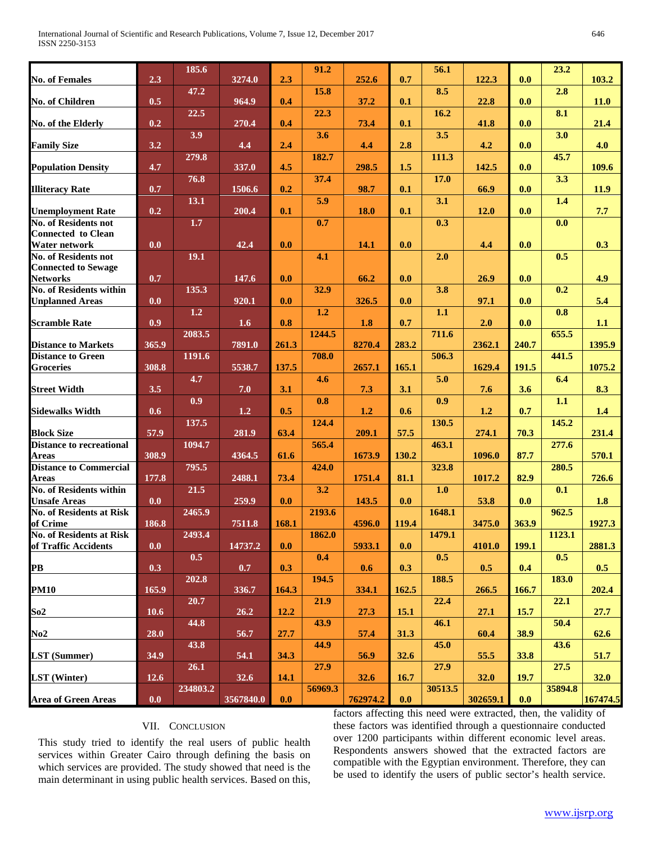| <b>No. of Females</b>                                  | 2.3              | 185.6    | 3274.0    | 2.3   | 91.2    | 252.6       | 0.7         | 56.1    | 122.3    | 0.0   | 23.2    | 103.2       |
|--------------------------------------------------------|------------------|----------|-----------|-------|---------|-------------|-------------|---------|----------|-------|---------|-------------|
|                                                        |                  | 47.2     |           |       | 15.8    |             |             | 8.5     |          |       | 2.8     |             |
| <b>No. of Children</b>                                 | 0.5              |          | 964.9     | 0.4   |         | 37.2        | 0.1         |         | 22.8     | 0.0   |         | <b>11.0</b> |
| No. of the Elderly                                     | 0.2              | 22.5     | 270.4     | 0.4   | 22.3    | 73.4        | 0.1         | 16.2    | 41.8     | 0.0   | 8.1     | 21.4        |
|                                                        |                  | 3.9      |           |       | 3.6     |             |             | 3.5     |          |       | 3.0     |             |
| <b>Family Size</b>                                     | 3.2              |          | 4.4       | 2.4   |         | 4.4         | 2.8         |         | 4.2      | 0.0   |         | 4.0         |
| <b>Population Density</b>                              | 4.7              | 279.8    | 337.0     | 4.5   | 182.7   | 298.5       | 1.5         | 111.3   | 142.5    | 0.0   | 45.7    | 109.6       |
|                                                        |                  | 76.8     |           |       | 37.4    |             |             | 17.0    |          |       | 3.3     |             |
| <b>Illiteracy Rate</b>                                 | 0.7              |          | 1506.6    | 0.2   |         | 98.7        | 0.1         |         | 66.9     | 0.0   |         | 11.9        |
| <b>Unemployment Rate</b>                               | 0.2              | 13.1     | 200.4     | 0.1   | 5.9     | <b>18.0</b> | 0.1         | 3.1     | 12.0     | 0.0   | 1.4     | 7.7         |
| <b>No. of Residents not</b>                            |                  | 1.7      |           |       | 0.7     |             |             | 0.3     |          |       | 0.0     |             |
| <b>Connected</b> to Clean                              |                  |          |           |       |         |             |             |         |          |       |         |             |
| <b>Water network</b><br><b>No. of Residents not</b>    | 0.0              |          | 42.4      | 0.0   | 4.1     | 14.1        | 0.0         |         | 4.4      | 0.0   | 0.5     | 0.3         |
| <b>Connected to Sewage</b>                             |                  | 19.1     |           |       |         |             |             | 2.0     |          |       |         |             |
| <b>Networks</b>                                        | 0.7              |          | 147.6     | 0.0   |         | 66.2        | 0.0         |         | 26.9     | 0.0   |         | 4.9         |
| <b>No. of Residents within</b>                         |                  | 135.3    |           |       | 32.9    |             |             | 3.8     |          |       | 0.2     |             |
| <b>Unplanned Areas</b>                                 | 0.0              | 1.2      | 920.1     | 0.0   | 1.2     | 326.5       | 0.0         | 1.1     | 97.1     | 0.0   | 0.8     | 5.4         |
| <b>Scramble Rate</b>                                   | 0.9 <sup>°</sup> |          | 1.6       | 0.8   |         | 1.8         | 0.7         |         | 2.0      | 0.0   |         | 1.1         |
|                                                        |                  | 2083.5   |           |       | 1244.5  |             |             | 711.6   |          |       | 655.5   |             |
| <b>Distance to Markets</b>                             | 365.9            | 1191.6   | 7891.0    | 261.3 | 708.0   | 8270.4      | 283.2       |         | 2362.1   | 240.7 | 441.5   | 1395.9      |
| <b>Distance to Green</b><br><b>Groceries</b>           | 308.8            |          | 5538.7    | 137.5 |         | 2657.1      | 165.1       | 506.3   | 1629.4   | 191.5 |         | 1075.2      |
|                                                        |                  | 4.7      |           |       | 4.6     |             |             | 5.0     |          |       | 6.4     |             |
| <b>Street Width</b>                                    | 3.5              |          | 7.0       | 3.1   |         | 7.3         | 3.1         |         | 7.6      | 3.6   |         | 8.3         |
| <b>Sidewalks Width</b>                                 | 0.6              | 0.9      | 1.2       | 0.5   | 0.8     | 1.2         | 0.6         | 0.9     | 1.2      | 0.7   | 1.1     | 1.4         |
|                                                        |                  | 137.5    |           |       | 124.4   |             |             | 130.5   |          |       | 145.2   |             |
| <b>Block Size</b>                                      | 57.9             |          | 281.9     | 63.4  |         | 209.1       | 57.5        |         | 274.1    | 70.3  |         | 231.4       |
| <b>Distance to recreational</b><br><b>Areas</b>        | 308.9            | 1094.7   | 4364.5    | 61.6  | 565.4   | 1673.9      | 130.2       | 463.1   | 1096.0   | 87.7  | 277.6   | 570.1       |
| <b>Distance to Commercial</b>                          |                  | 795.5    |           |       | 424.0   |             |             | 323.8   |          |       | 280.5   |             |
| <b>Areas</b>                                           | 177.8            |          | 2488.1    | 73.4  |         | 1751.4      | 81.1        |         | 1017.2   | 82.9  |         | 726.6       |
| <b>No. of Residents within</b>                         |                  | 21.5     |           |       | 3.2     |             |             | 1.0     |          |       | 0.1     |             |
| <b>Unsafe Areas</b><br><b>No. of Residents at Risk</b> | 0.0              | 2465.9   | 259.9     | 0.0   | 2193.6  | 143.5       | 0.0         | 1648.1  | 53.8     | 0.0   | 962.5   | 1.8         |
| of Crime                                               | 186.8            |          | 7511.8    | 168.1 |         | 4596.0      | 119.4       |         | 3475.0   | 363.9 |         | 1927.3      |
| <b>No. of Residents at Risk</b>                        |                  | 2493.4   |           |       | 1862.0  |             |             | 1479.1  |          |       | 1123.1  |             |
| of Traffic Accidents                                   | 0.0              |          | 14737.2   | 0.0   |         | 5933.1      | 0.0         |         | 4101.0   | 199.1 |         | 2881.3      |
| $\overline{\mathbf{PB}}$                               | 0.3              | 0.5      | 0.7       | 0.3   | 0.4     | 0.6         | 0.3         | 0.5     | 0.5      | 0.4   | 0.5     | 0.5         |
|                                                        |                  | 202.8    |           |       | 194.5   |             |             | 188.5   |          |       | 183.0   |             |
| <b>PM10</b>                                            | 165.9            |          | 336.7     | 164.3 |         | 334.1       | 162.5       |         | 266.5    | 166.7 |         | 202.4       |
| So2                                                    | 10.6             | 20.7     | 26.2      | 12.2  | 21.9    | 27.3        | <b>15.1</b> | 22.4    | 27.1     | 15.7  | 22.1    | 27.7        |
|                                                        |                  | 44.8     |           |       | 43.9    |             |             | 46.1    |          |       | 50.4    |             |
| No2                                                    | 28.0             |          | 56.7      | 27.7  |         | 57.4        | 31.3        |         | 60.4     | 38.9  |         | 62.6        |
| <b>LST</b> (Summer)                                    | 34.9             | 43.8     | 54.1      | 34.3  | 44.9    | 56.9        | 32.6        | 45.0    | 55.5     | 33.8  | 43.6    | 51.7        |
|                                                        |                  | 26.1     |           |       | 27.9    |             |             | 27.9    |          |       | 27.5    |             |
| <b>LST</b> (Winter)                                    | 12.6             |          | 32.6      | 14.1  |         | 32.6        | 16.7        |         | 32.0     | 19.7  |         | 32.0        |
| <b>Area of Green Areas</b>                             |                  | 234803.2 |           |       | 56969.3 |             |             | 30513.5 | 302659.1 |       | 35894.8 |             |
|                                                        | 0.0              |          | 3567840.0 | 0.0   |         | 762974.2    | 0.0         |         |          | 0.0   |         | 167474.5    |

# VII. CONCLUSION

This study tried to identify the real users of public health services within Greater Cairo through defining the basis on which services are provided. The study showed that need is the main determinant in using public health services. Based on this,

factors affecting this need were extracted, then, the validity of these factors was identified through a questionnaire conducted over 1200 participants within different economic level areas. Respondents answers showed that the extracted factors are compatible with the Egyptian environment. Therefore, they can be used to identify the users of public sector's health service.